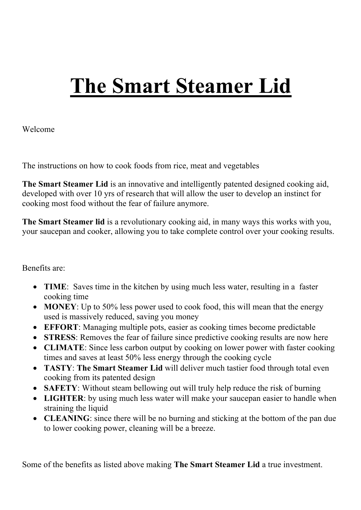# **The Smart Steamer Lid**

Welcome

The instructions on how to cook foods from rice, meat and vegetables

**The Smart Steamer Lid** is an innovative and intelligently patented designed cooking aid, developed with over 10 yrs of research that will allow the user to develop an instinct for cooking most food without the fear of failure anymore.

**The Smart Steamer lid** is a revolutionary cooking aid, in many ways this works with you, your saucepan and cooker, allowing you to take complete control over your cooking results.

Benefits are:

- **TIME**: Saves time in the kitchen by using much less water, resulting in a faster cooking time
- **MONEY**: Up to 50% less power used to cook food, this will mean that the energy used is massively reduced, saving you money
- **EFFORT**: Managing multiple pots, easier as cooking times become predictable
- **STRESS**: Removes the fear of failure since predictive cooking results are now here
- **CLIMATE**: Since less carbon output by cooking on lower power with faster cooking times and saves at least 50% less energy through the cooking cycle
- **TASTY**: **The Smart Steamer Lid** will deliver much tastier food through total even cooking from its patented design
- **SAFETY**: Without steam bellowing out will truly help reduce the risk of burning
- **LIGHTER**: by using much less water will make your saucepan easier to handle when straining the liquid
- **CLEANING**: since there will be no burning and sticking at the bottom of the pan due to lower cooking power, cleaning will be a breeze.

Some of the benefits as listed above making **The Smart Steamer Lid** a true investment.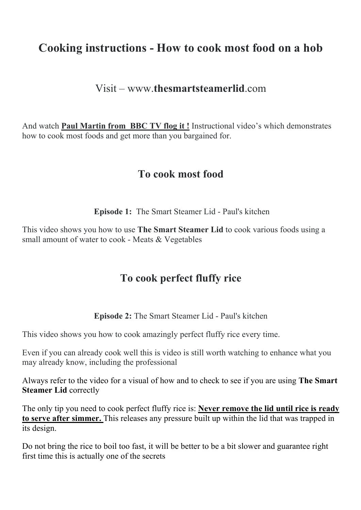## **Cooking instructions - How to cook most food on a hob**

#### Visit – www.**thesmartsteamerlid**.com

And watch **Paul Martin from BBC TV flog it !** Instructional video's which demonstrates how to cook most foods and get more than you bargained for.

#### **To cook most food**

**Episode 1:** The Smart Steamer Lid - Paul's kitchen

This video shows you how to use **The Smart Steamer Lid** to cook various foods using a small amount of water to cook - Meats & Vegetables

## **To cook perfect fluffy rice**

**Episode 2:** The Smart Steamer Lid - Paul's kitchen

This video shows you how to cook amazingly perfect fluffy rice every time.

Even if you can already cook well this is video is still worth watching to enhance what you may already know, including the professional

Always refer to the video for a visual of how and to check to see if you are using **The Smart Steamer Lid** correctly

The only tip you need to cook perfect fluffy rice is: **Never remove the lid until rice is ready to serve after simmer.** This releases any pressure built up within the lid that was trapped in its design.

Do not bring the rice to boil too fast, it will be better to be a bit slower and guarantee right first time this is actually one of the secrets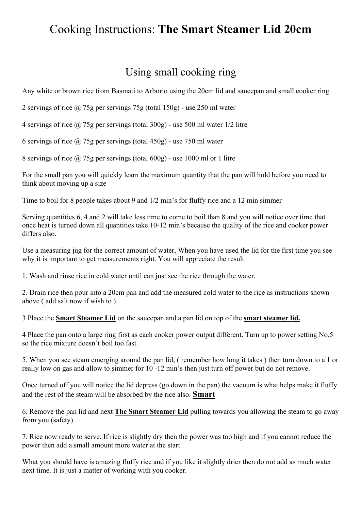# Cooking Instructions: **The Smart Steamer Lid 20cm**

#### Using small cooking ring

Any white or brown rice from Basmati to Arborio using the 20cm lid and saucepan and small cooker ring

2 servings of rice @ 75g per servings 75g (total 150g) - use 250 ml water

4 servings of rice @ 75g per servings (total 300g) - use 500 ml water 1/2 litre

6 servings of rice  $\omega$  75g per servings (total 450g) - use 750 ml water

8 servings of rice @ 75g per servings (total 600g) - use 1000 ml or 1 litre

For the small pan you will quickly learn the maximum quantity that the pan will hold before you need to think about moving up a size

Time to boil for 8 people takes about 9 and 1/2 min's for fluffy rice and a 12 min simmer

Serving quantities 6, 4 and 2 will take less time to come to boil than 8 and you will notice over time that once heat is turned down all quantities take 10-12 min's because the quality of the rice and cooker power differs also.

Use a measuring jug for the correct amount of water, When you have used the lid for the first time you see why it is important to get measurements right. You will appreciate the result.

1. Wash and rinse rice in cold water until can just see the rice through the water.

2. Drain rice then pour into a 20cm pan and add the measured cold water to the rice as instructions shown above ( add salt now if wish to ).

3 Place the **Smart Steamer Lid** on the saucepan and a pan lid on top of the **smart steamer lid.**

4 Place the pan onto a large ring first as each cooker power output different. Turn up to power setting No.5 so the rice mixture doesn't boil too fast.

5. When you see steam emerging around the pan lid, ( remember how long it takes ) then turn down to a 1 or really low on gas and allow to simmer for 10 -12 min's then just turn off power but do not remove.

Once turned off you will notice the lid depress (go down in the pan) the vacuum is what helps make it fluffy and the rest of the steam will be absorbed by the rice also. **Smart**

6. Remove the pan lid and next **The Smart Steamer Lid** pulling towards you allowing the steam to go away from you (safety).

7. Rice now ready to serve. If rice is slightly dry then the power was too high and if you cannot reduce the power then add a small amount more water at the start.

What you should have is amazing fluffy rice and if you like it slightly drier then do not add as much water next time. It is just a matter of working with you cooker.